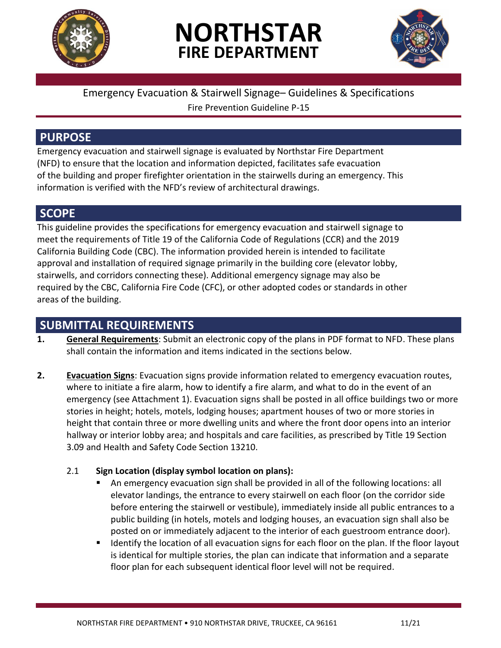

# **NORTHSTAR FIRE DEPARTMENT**



# Emergency Evacuation & Stairwell Signage– Guidelines & Specifications

Fire Prevention Guideline P-15

# **PURPOSE**

Emergency evacuation and stairwell signage is evaluated by Northstar Fire Department (NFD) to ensure that the location and information depicted, facilitates safe evacuation of the building and proper firefighter orientation in the stairwells during an emergency. This information is verified with the NFD's review of architectural drawings.

#### **SCOPE**

This guideline provides the specifications for emergency evacuation and stairwell signage to meet the requirements of Title 19 of the California Code of Regulations (CCR) and the 2019 California Building Code (CBC). The information provided herein is intended to facilitate approval and installation of required signage primarily in the building core (elevator lobby, stairwells, and corridors connecting these). Additional emergency signage may also be required by the CBC, California Fire Code (CFC), or other adopted codes or standards in other areas of the building.

### **SUBMITTAL REQUIREMENTS**

- **1. General Requirements**: Submit an electronic copy of the plans in PDF format to NFD. These plans shall contain the information and items indicated in the sections below.
- **2. Evacuation Signs**: Evacuation signs provide information related to emergency evacuation routes, where to initiate a fire alarm, how to identify a fire alarm, and what to do in the event of an emergency (see Attachment 1). Evacuation signs shall be posted in all office buildings two or more stories in height; hotels, motels, lodging houses; apartment houses of two or more stories in height that contain three or more dwelling units and where the front door opens into an interior hallway or interior lobby area; and hospitals and care facilities, as prescribed by Title 19 Section 3.09 and Health and Safety Code Section 13210.

#### 2.1 **Sign Location (display symbol location on plans):**

- An emergency evacuation sign shall be provided in all of the following locations: all elevator landings, the entrance to every stairwell on each floor (on the corridor side before entering the stairwell or vestibule), immediately inside all public entrances to a public building (in hotels, motels and lodging houses, an evacuation sign shall also be posted on or immediately adjacent to the interior of each guestroom entrance door).
- Identify the location of all evacuation signs for each floor on the plan. If the floor layout is identical for multiple stories, the plan can indicate that information and a separate floor plan for each subsequent identical floor level will not be required.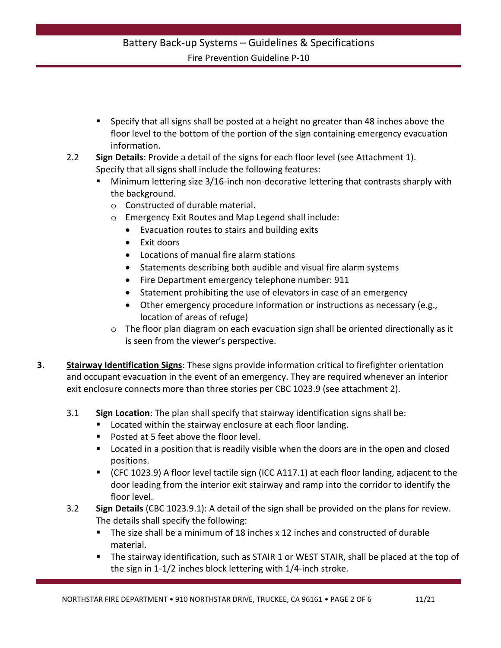- **Specify that all signs shall be posted at a height no greater than 48 inches above the** floor level to the bottom of the portion of the sign containing emergency evacuation information.
- 2.2 **Sign Details**: Provide a detail of the signs for each floor level (see Attachment 1). Specify that all signs shall include the following features:
	- Minimum lettering size 3/16-inch non-decorative lettering that contrasts sharply with the background.
		- o Constructed of durable material.
		- o Emergency Exit Routes and Map Legend shall include:
			- Evacuation routes to stairs and building exits
			- Exit doors
			- Locations of manual fire alarm stations
			- Statements describing both audible and visual fire alarm systems
			- Fire Department emergency telephone number: 911
			- Statement prohibiting the use of elevators in case of an emergency
			- Other emergency procedure information or instructions as necessary (e.g., location of areas of refuge)
		- o The floor plan diagram on each evacuation sign shall be oriented directionally as it is seen from the viewer's perspective.
- **3. Stairway Identification Signs**: These signs provide information critical to firefighter orientation and occupant evacuation in the event of an emergency. They are required whenever an interior exit enclosure connects more than three stories per CBC 1023.9 (see attachment 2).
	- 3.1 **Sign Location**: The plan shall specify that stairway identification signs shall be:
		- **EXEC** Located within the stairway enclosure at each floor landing.
		- **Posted at 5 feet above the floor level.**
		- **Located in a position that is readily visible when the doors are in the open and closed** positions.
		- (CFC 1023.9) A floor level tactile sign (ICC A117.1) at each floor landing, adjacent to the door leading from the interior exit stairway and ramp into the corridor to identify the floor level.
	- 3.2 **Sign Details** (CBC 1023.9.1): A detail of the sign shall be provided on the plans for review. The details shall specify the following:
		- The size shall be a minimum of 18 inches x 12 inches and constructed of durable material.
		- The stairway identification, such as STAIR 1 or WEST STAIR, shall be placed at the top of the sign in 1-1/2 inches block lettering with 1/4-inch stroke.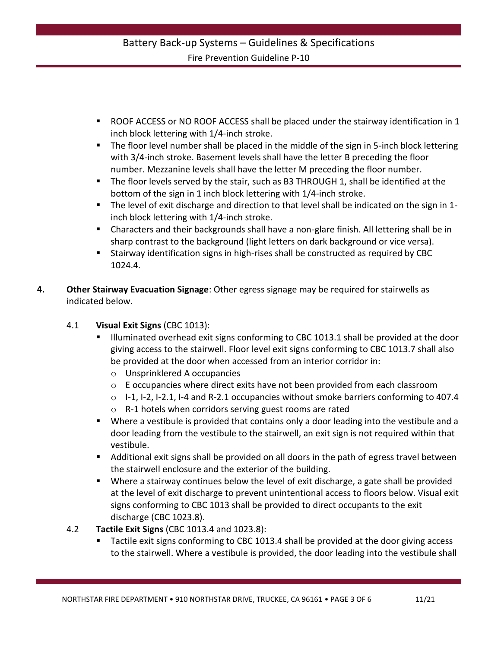#### Battery Back-up Systems – Guidelines & Specifications Fire Prevention Guideline P-10

- ROOF ACCESS or NO ROOF ACCESS shall be placed under the stairway identification in 1 inch block lettering with 1/4-inch stroke.
- The floor level number shall be placed in the middle of the sign in 5-inch block lettering with 3/4-inch stroke. Basement levels shall have the letter B preceding the floor number. Mezzanine levels shall have the letter M preceding the floor number.
- The floor levels served by the stair, such as B3 THROUGH 1, shall be identified at the bottom of the sign in 1 inch block lettering with 1/4-inch stroke.
- The level of exit discharge and direction to that level shall be indicated on the sign in 1 inch block lettering with 1/4-inch stroke.
- Characters and their backgrounds shall have a non-glare finish. All lettering shall be in sharp contrast to the background (light letters on dark background or vice versa).
- Stairway identification signs in high-rises shall be constructed as required by CBC 1024.4.
- **4. Other Stairway Evacuation Signage**: Other egress signage may be required for stairwells as indicated below.
	- 4.1 **Visual Exit Signs** (CBC 1013):
		- Illuminated overhead exit signs conforming to CBC 1013.1 shall be provided at the door giving access to the stairwell. Floor level exit signs conforming to CBC 1013.7 shall also be provided at the door when accessed from an interior corridor in:
			- o Unsprinklered A occupancies
			- $\circ$  E occupancies where direct exits have not been provided from each classroom
			- $\circ$  I-1, I-2, I-2.1, I-4 and R-2.1 occupancies without smoke barriers conforming to 407.4
			- o R-1 hotels when corridors serving guest rooms are rated
		- Where a vestibule is provided that contains only a door leading into the vestibule and a door leading from the vestibule to the stairwell, an exit sign is not required within that vestibule.
		- Additional exit signs shall be provided on all doors in the path of egress travel between the stairwell enclosure and the exterior of the building.
		- Where a stairway continues below the level of exit discharge, a gate shall be provided at the level of exit discharge to prevent unintentional access to floors below. Visual exit signs conforming to CBC 1013 shall be provided to direct occupants to the exit discharge (CBC 1023.8).
	- 4.2 **Tactile Exit Signs** (CBC 1013.4 and 1023.8):
		- Tactile exit signs conforming to CBC 1013.4 shall be provided at the door giving access to the stairwell. Where a vestibule is provided, the door leading into the vestibule shall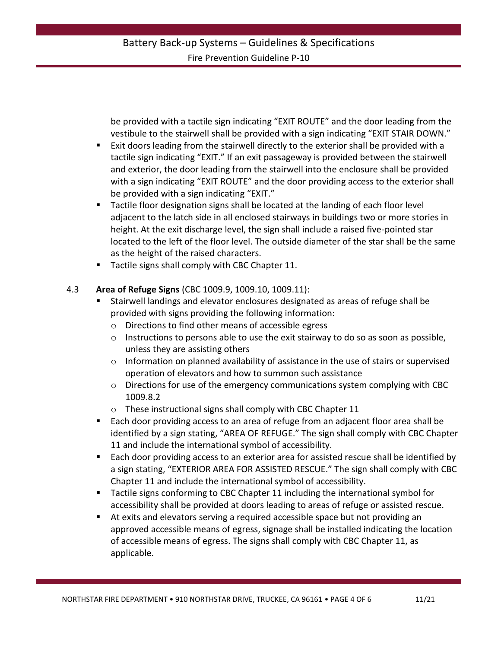be provided with a tactile sign indicating "EXIT ROUTE" and the door leading from the vestibule to the stairwell shall be provided with a sign indicating "EXIT STAIR DOWN."

- Exit doors leading from the stairwell directly to the exterior shall be provided with a tactile sign indicating "EXIT." If an exit passageway is provided between the stairwell and exterior, the door leading from the stairwell into the enclosure shall be provided with a sign indicating "EXIT ROUTE" and the door providing access to the exterior shall be provided with a sign indicating "EXIT."
- Tactile floor designation signs shall be located at the landing of each floor level adjacent to the latch side in all enclosed stairways in buildings two or more stories in height. At the exit discharge level, the sign shall include a raised five-pointed star located to the left of the floor level. The outside diameter of the star shall be the same as the height of the raised characters.
- Tactile signs shall comply with CBC Chapter 11.

#### 4.3 **Area of Refuge Signs** (CBC 1009.9, 1009.10, 1009.11):

- Stairwell landings and elevator enclosures designated as areas of refuge shall be provided with signs providing the following information:
	- o Directions to find other means of accessible egress
	- o Instructions to persons able to use the exit stairway to do so as soon as possible, unless they are assisting others
	- $\circ$  Information on planned availability of assistance in the use of stairs or supervised operation of elevators and how to summon such assistance
	- $\circ$  Directions for use of the emergency communications system complying with CBC 1009.8.2
	- o These instructional signs shall comply with CBC Chapter 11
- Each door providing access to an area of refuge from an adjacent floor area shall be identified by a sign stating, "AREA OF REFUGE." The sign shall comply with CBC Chapter 11 and include the international symbol of accessibility.
- Each door providing access to an exterior area for assisted rescue shall be identified by a sign stating, "EXTERIOR AREA FOR ASSISTED RESCUE." The sign shall comply with CBC Chapter 11 and include the international symbol of accessibility.
- Tactile signs conforming to CBC Chapter 11 including the international symbol for accessibility shall be provided at doors leading to areas of refuge or assisted rescue.
- At exits and elevators serving a required accessible space but not providing an approved accessible means of egress, signage shall be installed indicating the location of accessible means of egress. The signs shall comply with CBC Chapter 11, as applicable.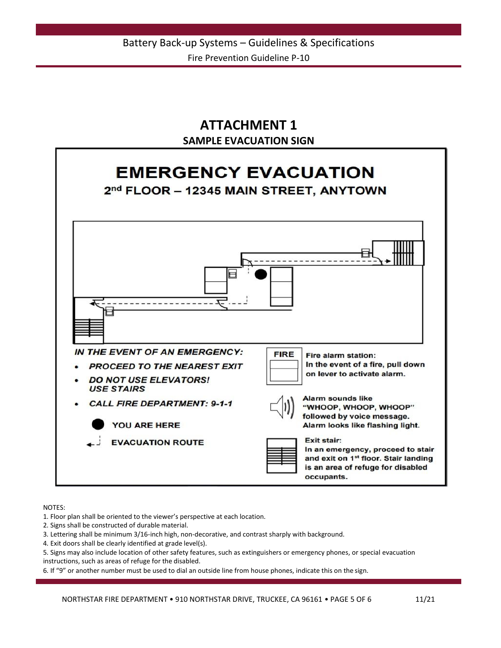# **ATTACHMENT 1 SAMPLE EVACUATION SIGN**



NOTES:

1. Floor plan shall be oriented to the viewer's perspective at each location.

2. Signs shall be constructed of durable material.

3. Lettering shall be minimum 3/16-inch high, non-decorative, and contrast sharply with background.

4. Exit doors shall be clearly identified at grade level(s).

5. Signs may also include location of other safety features, such as extinguishers or emergency phones, or special evacuation instructions, such as areas of refuge for the disabled.

6. If "9" or another number must be used to dial an outside line from house phones, indicate this on the sign.